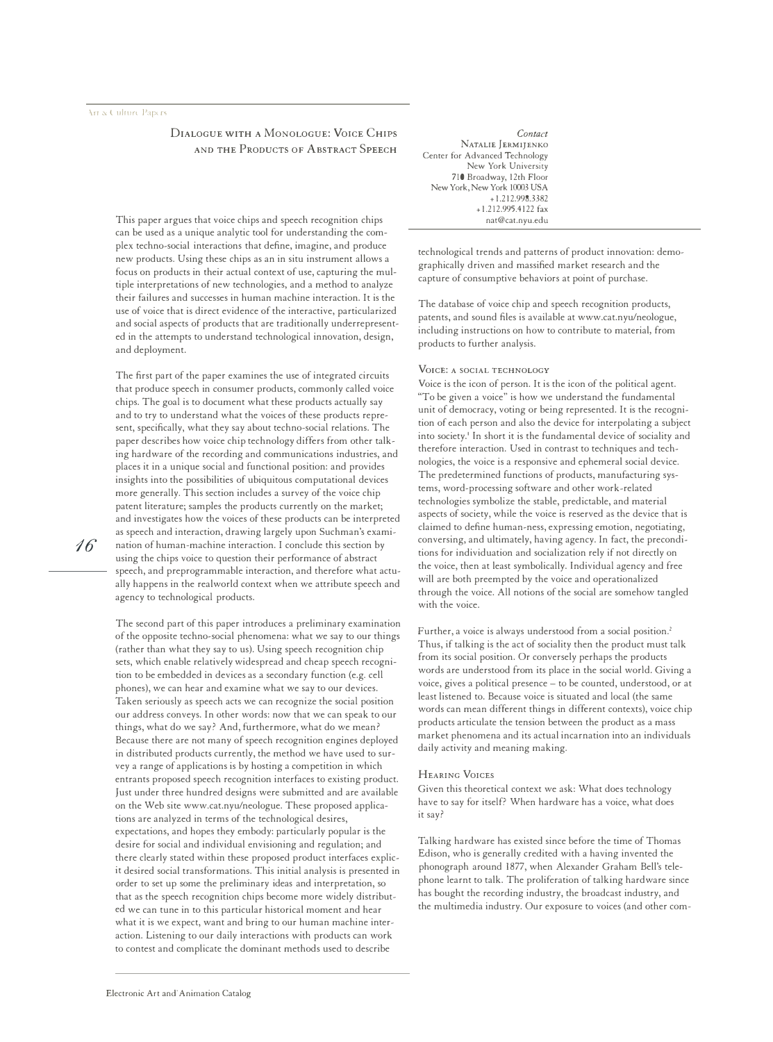## Art & Culture Papers

# **DIALOGUE WITH A MONOLOGUE: VOICE CHIPS AND THE PRODUCTS OF ABSTRACT SPEECH**

This paper argues that voice chips and speech recognition chips can be used as a unique analytic tool for understanding the complex techno-social interactions that define, imagine, and produce new products. Using these chips as an in situ instrument allows a focus on products in their actual context of use, capturing the multiple interpretations of new technologies, and a method to analyze their failures and successes in human machine interaction. It is the use of voice that is direct evidence of the interactive, particularized and social aspects of products that are traditionally underrepresented in the attempts to understand technological innovation, design, and deployment.

The first part of the paper examines the use of integrated circuits that produce speech in consumer products, commonly called voice chips. The goal is to document what these products actually say and to try to understand what the voices of these products represent, specifically, what they say about techno-social relations. The paper describes how voice chip technology differs from other talking hardware of the recording and communications industries, and places it in a unique social and functional position: and provides insights into the possibilities of ubiquitous computational devices more generally. This section includes a survey of the voice chip patent literature; samples the products currently on the market; and investigates how the voices of these products can be interpreted as speech and interaction, drawing largely upon Suchman's examination of human-machine interaction. I conclude this section by using the chips voice to question their performance of abstract speech, and preprogrammable interaction, and therefore what actually happens in the realworld context when we attribute speech and agency to technological products.

The second part of this paper introduces a preliminary examination of the opposite techno-social phenomena: what we say to our things (rather than what they say to us). Using speech recognition chip sets, which enable relatively widespread and cheap speech recognition to be embedded in devices as a secondary function (e.g. cell phones), we can hear and examine what we say to our devices. Taken seriously as speech acts we can recognize the social position our address conveys. In other words: now that we can speak to our things, what do we say? And, furthermore, what do we mean? Because there are not many of speech recognition engines deployed in distributed products currently, the method we have used to survey a range of applications is by hosting a competition in which entrants proposed speech recognition interfaces to existing product. Just under three hundred designs were submitted and are available on the Web site www.cat.nyu/neologue. These proposed applications are analyzed in terms of the technological desires, expectations, and hopes they embody: particularly popular is the desire for social and individual envisioning and regulation; and there clearly stated within these proposed product interfaces explicit desired social transformations. This initial analysis is presented in order to set up some the preliminary ideas and interpretation, so that as the speech recognition chips become more widely distributed we can tune in to this particular historical moment and hear what it is we expect, want and bring to our human machine interaction. Listening to our daily interactions with products can work to contest and complicate the dominant methods used to describe

*Contact*  **NATALIE JERMIJENKO**  Center for Advanced Technology New York University 710 Broadway, 12th Floor New York, New York 10003 USA +1.212.998.3382 + 1.212.995.4122 fax nat@cat.nyu.edu

technological trends and patterns of product innovation: demographically driven and massified market research and the capture of consumptive behaviors at point of purchase.

The database of voice chip and speech recognition products, patents, and sound files is available at www.cat.nyu/neologue, including instructions on how to contribute to material, from products to further analysis.

## **VOICE: A SOCIAL TECHNOLOGY**

Voice is the icon of person. It is the icon of the political agent. "To be given a voice" is how we understand the fundamental unit of democracy, voting or being represented. It is the recognition of each person and also the device for interpolating a subject into society.' In short it is the fundamental device of sociality and therefore interaction. Used in contrast to techniques and technologies, the voice is a responsive and ephemeral social device. The predetermined functions of products, manufacturing systems, word-processing software and other work-related technologies symbolize the stable, predictable, and material aspects of society, while the voice is reserved as the device that is claimed to define human-ness, expressing emotion, negotiating, conversing, and ultimately, having agency. In fact, the preconditions for individuation and socialization rely if not directly on the voice, then at least symbolically. Individual agency and free will are both preempted by the voice and operationalized through the voice. All notions of the social are somehow tangled with the voice.

Further, a voice is always understood from a social position.' Thus, if talking is the act of sociality then the product must talk from its social position. Or conversely perhaps the products words are understood from its place in the social world. Giving a voice, gives a political presence - to be counted, understood, or at least listened to. Because voice is situated and local (the same words can mean different things in different contexts), voice chip products articulate the tension between the product as a mass market phenomena and its actual incarnation into an individuals daily activity and meaning making.

# **HEARING VOICES**

Given this theoretical context we ask: What does technology have to say for itself? When hardware has a voice, what does it say?

Talking hardware has existed since before the time of Thomas Edison, who is generally credited with a having invented the phonograph around 1877, when Alexander Graham Bell's telephone learnt to talk. The proliferation of talking hardware since has bought the recording industry, the broadcast industry, and the multimedia industry. Our exposure to voices (and other com-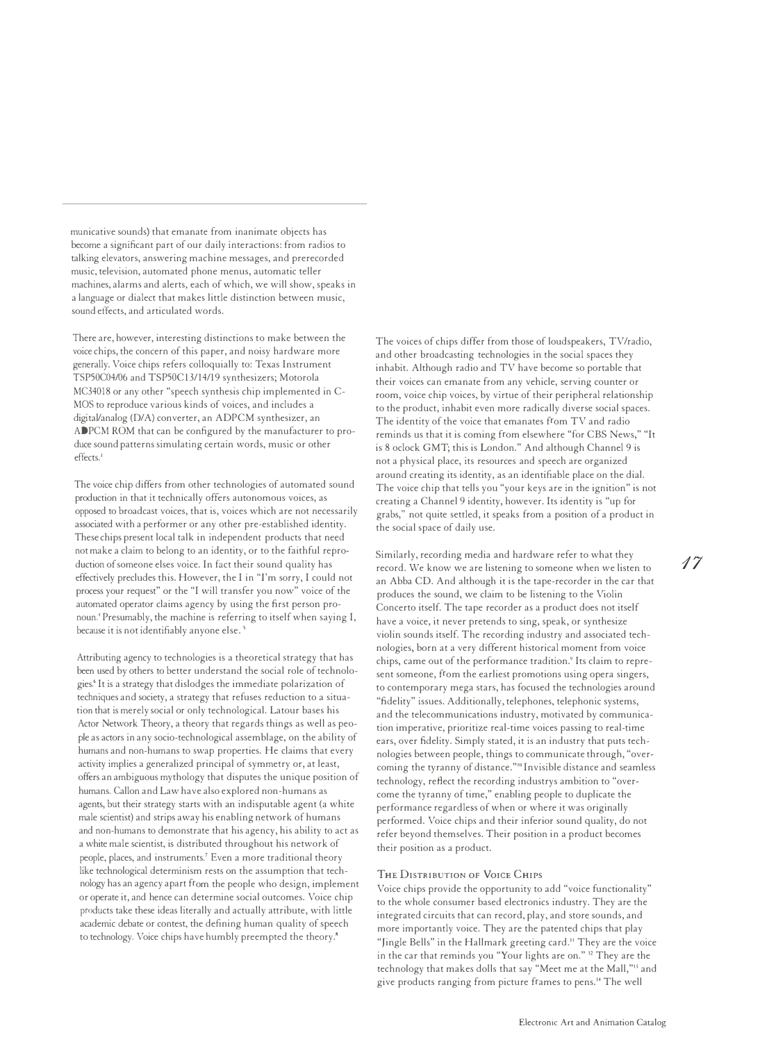municative sounds) that emanate from inanimate objects has become a significant part of our daily interactions: from radios to talking elevators, answering machine messages, and prerecorded music, television, automated phone menus, automatic teller machines, alarms and alerts, each of which, we will show, speaks in a language or dialect that makes little distinction between music, sound effects, and articulated words.

There are, however, interesting distinctions to make between the voice chips, the concern of this paper, and noisy hardware more generally. Voice chips refers colloquially to: Texas Instrument TSPSOC04/06 and TSPSOC13/!4/19 synthesizers; Motorola MC34018 or any other "speech synthesis chip implemented in C-MOS to reproduce various kinds of voices, and includes a digital/analog (D/A) converter, an ADPCM synthesizer, an ADPCM ROM that can be configured by the manufacturer to produce sound patterns simulating certain words, music or other effects.<sup>3</sup>

The voice chip differs from other technologies of automated sound production in that it technically offers autonomous voices, as opposed to broadcast voices, that is, voices which are not necessarily associated with a performer or any other pre-established identity. These chips present local talk in independent products that need not make a claim to belong to an identity, or to the faithful reproduction of someone elses voice. In fact their sound quality has effectively precludes this. However, the I in "I'm sorry, I could not process your request" or the "I will transfer you now" voice of the automated operator claims agency by using the first person pronoun.' Presumably, the machine is referring to itself when saying I, because it is not identifiably anyone else. '

Attributing agency to technologies is a theoretical strategy that has been used by others to better understand the social role of technologies.' It is a strategy that dislodges the immediate polarization of techniques and society, a strategy that refuses reduction to a situation that is merely social or only technological. Latour bases his Actor Network Theory, a theory that regards things as well as people as actors in any socio-technological assemblage, on the ability of humans and non-humans to swap properties. He claims that every activity implies a generalized principal of symmetry or, at least, offers an ambiguous mythology that disputes the unique position of humans. Callon and Law have also explored non-humans as agents, but their strategy starts with an indisputable agent (a white male scientist) and strips away his enabling network of humans and non-humans to demonstrate that his agency, his ability to act as a white male scientist, is distributed throughout his network of people, places, and instruments.' Even a more traditional theory like technological determinism rests on the assumption that technology has an agency apart from the people who design, implement or operate it, and hence can determine social outcomes. Voice chip products take these ideas literally and actually attribute, with little academic debate or contest, the defining human quality of speech to technology. Voice chips have humbly preempted the theory.'

The voices of chips differ from those of loudspeakers, TV/radio, and other broadcasting technologies in the social spaces they inhabit. Although radio and TV have become so portable that their voices can emanate from any vehicle, serving counter or room, voice chip voices, by virtue of their peripheral relationship to the product, inhabit even more radically diverse social spaces. The identity of the voice that emanates from TV and radio reminds us that it is coming from elsewhere "for CBS News," "It is 8 oclock GMT; this is London." And although Channel 9 is not a physical place, its resources and speech are organized around creating its identity, as an identifiable place on the dial. The voice chip that tells you "your keys are in the ignition" is not creating a Channel 9 identity, however. Its identity is "up for grabs," not quite settled, it speaks from a position of a product in the social space of daily use.

Similarly, recording media and hardware refer to what they record. We know we are listening to someone when we listen to an Abba CD. And although it is the tape-recorder in the car that produces the sound, we claim to be listening to the Violin Concerto itself. The tape recorder as a product does not itself have a voice, it never pretends to sing, speak, or synthesize violin sounds itself. The recording industry and associated technologies, born at a very different historical moment from voice chips, came out of the performance tradition.' Its claim to represent someone, from the earliest promotions using opera singers, to contemporary mega stars, has focused the technologies around "fidelity" issues. Additionally, telephones, telephonic systems, and the telecommunications industry, motivated by communication imperative, prioritize real-time voices passing to real-time ears, over fidelity. Simply stated, it is an industry that puts technologies between people, things to communicate through, "overcoming the tyranny of distance."<sup>10</sup> Invisible distance and seamless technology, reflect the recording industrys ambition to "overcome the tyranny of time," enabling people to duplicate the performance regardless of when or where it was originally performed. Voice chips and their inferior sound quality, do not refer beyond themselves. Their position in a product becomes their position as a product.

## **THE DISTRIBUTION OF VOICE CHIPS**

Voice chips provide the opportunity to add "voice functionality" to the whole consumer based electronics industry. They are the integrated circuits that can record, play, and store sounds, and more importantly voice. They are the patented chips that play "Jingle Bells" in the Hallmark greeting card." They are the voice in the car that reminds you "Your lights are on." **12** They are the technology that makes dolls that say "Meet me at the Mall,"13 and give products ranging from picture frames to pens." The well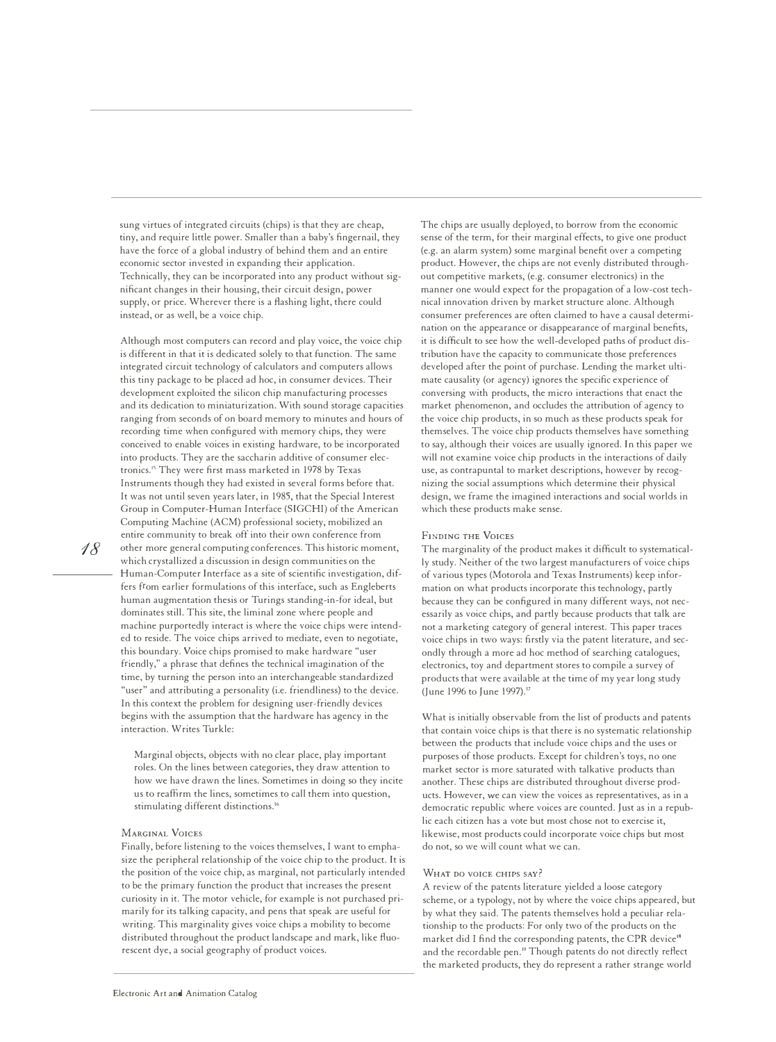sung virtues of integrated circuits (chips) is that they are cheap, tiny, and require little power. Smaller than a baby's fingernail, they have the force of a global industry of behind them and an entire economic sector invested in expanding their application. Technically, they can be incorporated into any product without significant changes in their housing, their circuit design, power supply, or price. Wherever there is a flashing light, there could instead, or as well, be a voice chip.

Although most computers can record and play voice, the voice chip is different in that it is dedicated solely to that function. The same integrated circuit technology of calculators and computers allows this tiny package to be placed ad hoc, in consumer devices. Their development exploited the silicon chip manufacturing processes and its dedication to miniaturization. With sound storage capacities ranging from seconds of on board memory to minutes and hours of recording time when configured with memory chips, they were conceived to enable voices in existing hardware, to be incorporated into products. They are the saccharin additive of consumer electronics." They were first mass marketed in 1978 by Texas Instruments though they had existed in several forms before that. It was not until seven years later, in 1985, that the Special Interest Group in Computer-Human Interface (SIGCHI) of the American Computing Machine (ACM) professional society, mobilized an entire community to break off into their own conference from other more general computing conferences. This historic moment, which crystallized a discussion in design communities on the Human-Computer Interface as a site of scientific investigation, differs from earlier formulations of this interface, such as Engleberts human augmentation thesis or Turings standing-in-for ideal, but dominates still. This site, the liminal zone where people and machine purportedly interact is where the voice chips were intended to reside. The voice chips arrived to mediate, even to negotiate, this boundary. Voice chips promised to make hardware "user friendly," a phrase that defines the technical imagination of the time, by turning the person into an interchangeable standardized "user" and attributing a personality (i.e. friendliness) to the device. In this context the problem for designing user-friendly devices begins with the assumption that the hardware has agency in the interaction. Writes Turkle:

Marginal objects, objects with no clear place, play important roles. On the lines between categories, they draw attention to how we have drawn the lines. Sometimes in doing so they incite us to reaffirm the lines, sometimes to call them into question, stimulating different distinctions.**<sup>16</sup>**

## **MARGINAL VOICES**

Finally, before listening to the voices themselves, I want to emphasize the peripheral relationship of the voice chip to the product. It is the position of the voice chip, as marginal, not particularly intended to be the primary function the product that increases the present curiosity in it. The motor vehicle, for example is not purchased primarily for its talking capacity, and pens that speak are useful for writing. This marginality gives voice chips a mobility to become distributed throughout the product landscape and mark, like fluorescent dye, a social geography of product voices.

The chips are usually deployed, to borrow from the economic sense of the term, for their marginal effects, to give one product (e.g. an alarm system) some marginal benefit over a competing product. However, the chips are not evenly distributed throughout competitive markets, (e.g. consumer electronics) in the manner one would expect for the propagation of a low-cost technical innovation driven by market structure alone. Although consumer preferences are often claimed to have a causal determination on the appearance or disappearance of marginal benefits, it is difficult to see how the well-developed paths of product distribution have the capacity to communicate those preferences developed after the point of purchase. Lending the market ultimate causality (or agency) ignores the specific experience of conversing with products, the micro interactions that enact the market phenomenon, and occludes the attribution of agency to the voice chip products, in so much as these products speak for themselves. The voice chip products themselves have something to say, although their voices are usually ignored. In this paper we will not examine voice chip products in the interactions of daily use, as contrapuntal to market descriptions, however by recognizing the social assumptions which determine their physical design, we frame the imagined interactions and social worlds in which these products make sense.

## FINDING THE VOICES

The marginality of the product makes it difficult to systematically study. Neither of the two largest manufacturers of voice chips of various types (Motorola and Texas Instruments) keep information on what products incorporate this technology, partly because they can be configured in many different ways, not necessarily as voice chips, and partly because products that talk are not a marketing category of general interest. This paper traces voice chips in two ways: firstly via the patent literature, and secondly through a more ad hoc method of searching catalogues, electronics, toy and department stores to compile a survey of products that were available at the time of my year long study (June 1996 to June 1997).<sup>17</sup>

What is initially observable from the list of products and patents that contain voice chips is that there is no systematic relationship between the products that include voice chips and the uses or purposes of those products. Except for children's toys, no one market sector is more saturated with talkative products than another. These chips are distributed throughout diverse products. However, we can view the voices as representatives, as in a democratic republic where voices are counted. Just as in a republic each citizen has a vote but most chose not to exercise it, likewise, most products could incorporate voice chips but most do not, so we will count what we can.

### WHAT DO VOICE CHIPS SAY?

A review of the patents literature yielded a loose category scheme, or a typology, not by where the voice chips appeared, but by what they said. The patents themselves hold a peculiar relationship to the products: For only two of the products on the market did I find the corresponding patents, the CPR device**<sup>18</sup>** and the recordable pen.<sup>19</sup> Though patents do not directly reflect the marketed products, they do represent a rather strange world

Electronic Art and Animation Catalog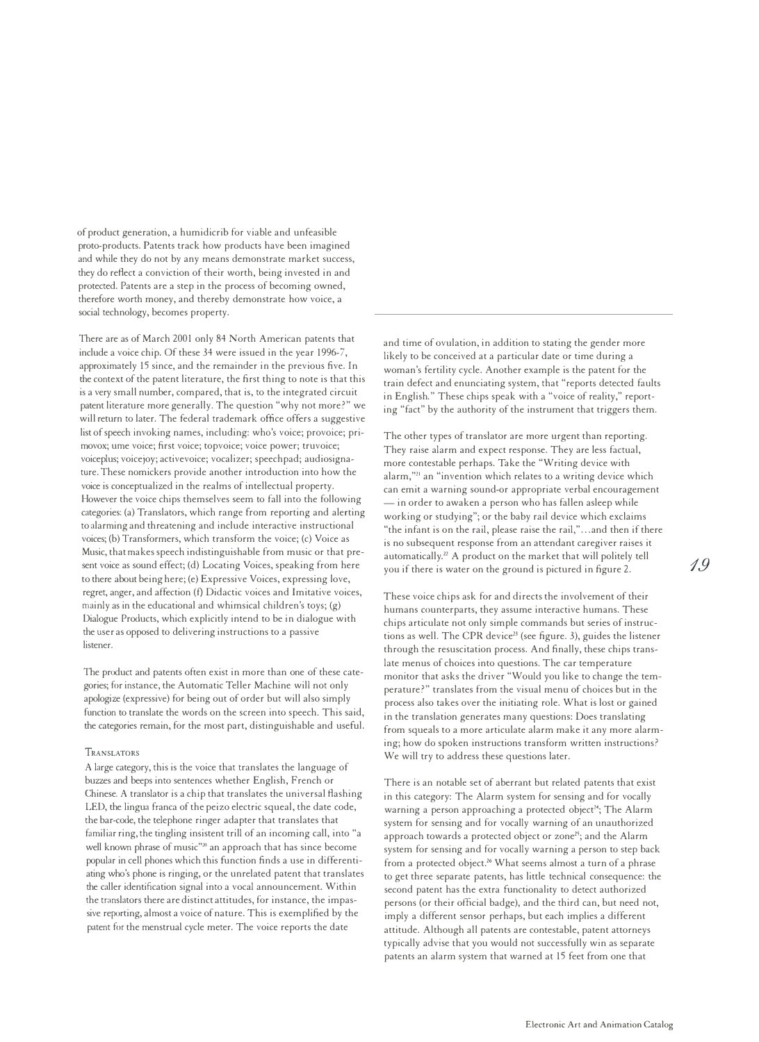of product generation, a humidicrib for viable and unfeasible proto-products. Patents track how products have been imagined and while they do not by any means demonstrate market success, they do reflect a conviction of their worth, being invested in and protected. Patents are a step in the process of becoming owned, therefore worth money, and thereby demonstrate how voice, a social technology, becomes property.

There are as of March 2001 only 84 North American patents that include a voice chip. Of these 34 were issued in the year 1996-7, approximately 15 since, and the remainder in the previous five. In the context of the patent literature, the first thing to note is that this is a very small number, compared, that is, to the integrated circuit patent literature more generally. The question "why not more?" we will return to later. The federal trademark office offers a suggestive list of speech invoking names, including: who's voice; provoice; primovox; ume voice; first voice; topvoice; voice power; truvoice; voiceplus; voicejoy; activevoice; vocalizer; speechpad; audiosignature. These nomickers provide another introduction into how the voice is conceptualized in the realms of intellectual property. However the voice chips themselves seem to fall into the following categories: (a) Translators, which range from reporting and alerting to alarming and threatening and include interactive instructional voices; (b) Transformers, which transform the voice; (c) Voice as Music, that makes speech indistinguishable from music or that present voice as sound effect; (d) Locating Voices, speaking from here to there about being here; (e) Expressive Voices, expressing love, regret, anger, and affection (f) Didactic voices and Imitative voices, mainly as in the educational and whimsical children's toys; (g) Dialogue Products, which explicitly intend to be in dialogue with the user as opposed to delivering instructions to a passive listener.

The product and patents often exist in more than one of these categories; for instance, the Automatic Teller Machine will not only apologize (expressive) for being out of order but will also simply function to translate the words on the screen into speech. This said, the categories remain, for the most part, distinguishable and useful.

## **TRANSLATORS**

A large category, this is the voice that translates the language of buzzes and beeps into sentences whether English, French or Chinese. A translator is a chip that translates the universal flashing LED, the lingua franca of the peizo electric squeal, the date code, the bar-code, the telephone ringer adapter that translates that familiar ring, the tingling insistent trill of an incoming call, into "a well known phrase of music"<sup>20</sup> an approach that has since become popular in cell phones which this function finds a use in differentiating who's phone is ringing, or the unrelated patent that translates the caller identification signal into a vocal announcement. Within the translators there are distinct attitudes, for instance, the impassive reporting, almost a voice of nature. This is exemplified by the patent for the menstrual cycle meter. The voice reports the date

and time of ovulation, in addition to stating the gender more likely to be conceived at a particular date or time during a woman's fertility cycle. Another example is the patent for the train defect and enunciating system, that "reports detected faults in English." These chips speak with a "voice of reality," reporting "fact" by the authority of the instrument that triggers them.

The other types of translator are more urgent than reporting. They raise alarm and expect response. They are less factual, more contestable perhaps. Take the "Writing device with alarm,"<sup>21</sup> an "invention which relates to a writing device which can emit a warning sound-or appropriate verbal encouragement  $-$  in order to awaken a person who has fallen asleep while working or studying"; or the baby rail device which exclaims "the infant is on the rail, please raise the rail," ... and then if there is no subsequent response from an attendant caregiver raises it automatically." A product on the market that will politely tell you if there is water on the ground is pictured in figure 2.

These voice chips ask for and directs the involvement of their humans counterparts, they assume interactive humans. These chips articulate not only simple commands but series of instructions as well. The CPR device<sup>23</sup> (see figure. 3), guides the listener through the resuscitation process. And finally, these chips translate menus of choices into questions. The car temperature monitor that asks the driver "Would you like to change the temperature?" translates from the visual menu of choices but in the process also takes over the initiating role. What is lost or gained in the translation generates many questions: Does translating from squeals to a more articulate alarm make it any more alarming; how do spoken instructions transform written instructions? We will try to address these questions later.

There is an notable set of aberrant but related patents that exist in this category: The Alarm system for sensing and for vocally warning a person approaching a protected object<sup>24</sup>; The Alarm system for sensing and for vocally warning of an unauthorized approach towards a protected object or zone<sup>25</sup>; and the Alarm system for sensing and for vocally warning a person to step back from a protected object.**26** What seems almost a turn of a phrase to get three separate patents, has little technical consequence: the second patent has the extra functionality to detect authorized persons (or their official badge), and the third can, but need not, imply a different sensor perhaps, but each implies a different attitude. Although all patents are contestable, patent attorneys typically advise that you would not successfully win as separate patents an alarm system that warned at 15 feet from one that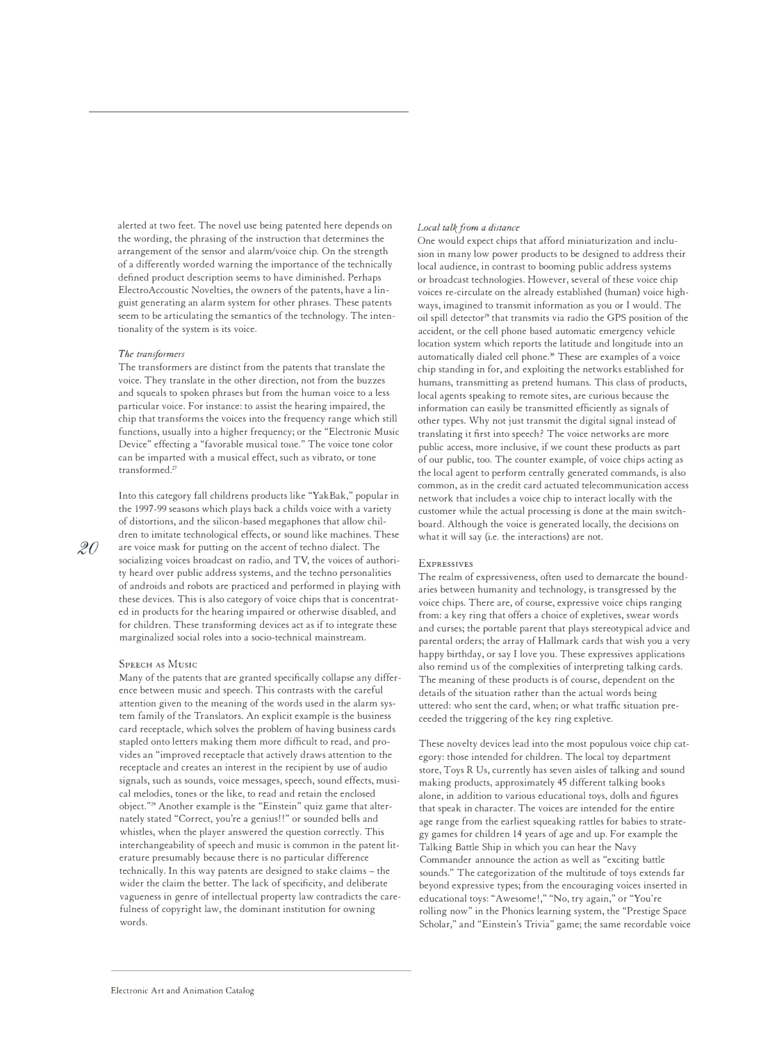alerted at two feet. The novel use being patented here depends on the wording, the phrasing of the instruction that determines the arrangement of the sensor and alarm/voice chip. On the strength of a differently worded warning the importance of the technically defined product description seems to have diminished. Perhaps ElectroAccoustic Novelties, the owners of the patents, have a linguist generating an alarm system for other phrases. These patents seem to be articulating the semantics of the technology. The intentionality of the system is its voice.

## **The transformers**

The transformers are distinct from the patents that translate the voice. They translate in the other direction, not from the buzzes and squeals to spoken phrases but from the human voice to a less particular voice. For instance: to assist the hearing impaired, the chip that transforms the voices into the frequency range which still functions, usually into a higher frequency; or the "Electronic Music Device" effecting a "favorable musical tone." The voice tone color can be imparted with a musical effect, such as vibrato, or tone transformed."

Into this category fall childrens products like "YakBak," popular in the 1997-99 seasons which plays back a childs voice with a variety of distortions, and the silicon-based megaphones that allow children to imitate technological effects, or sound like machines. These are voice mask for putting on the accent of techno dialect. The socializing voices broadcast on radio, and TV, the voices of authority heard over public address systems, and the techno personalities of androids and robots are practiced and performed in playing with these devices. This is also category of voice chips that is concentrated in products for the hearing impaired or otherwise disabled, and for children. These transforming devices act as if to integrate these marginalized social roles into a socio-technical mainstream.

### SPEECH AS Music

Many of the patents that are granted specifically collapse any difference between music and speech. This contrasts with the careful attention given to the meaning of the words used in the alarm system family of the Translators. An explicit example is the business card receptacle, which solves the problem of having business cards stapled onto letters making them more difficult to read, and provides an "improved receptacle that actively draws attention to the receptacle and creates an interest in the recipient by use of audio signals, such as sounds, voice messages, speech, sound effects, musical melodies, tones or the like, to read and retain the enclosed object."<sup>28</sup> Another example is the "Einstein" quiz game that alternately stated "Correct, you're a genius!!" or sounded bells and whistles, when the player answered the question correctly. This interchangeability of speech and music is common in the patent literature presumably because there is no particular difference technically. In this way patents are designed to stake claims - the wider the claim the better. The lack of specificity, and deliberate vagueness in genre of intellectual property law contradicts the carefulness of copyright law, the dominant institution for owning words.

### *Local talkfi-om a distance*

One would expect chips that afford miniaturization and inclusion in many low power products to be designed to address their local audience, in contrast to booming public address systems or broadcast technologies. However, several of these voice chip voices re-circulate on the already established (human) voice highways, imagined to transmit information as you or I would. The oil spill detector<sup>29</sup> that transmits via radio the GPS position of the accident, or the cell phone based automatic emergency vehicle location system which reports the latitude and longitude into an automatically dialed cell phone.<sup>30</sup> These are examples of a voice chip standing in for, and exploiting the networks established for humans, transmitting as pretend humans. This class of products, local agents speaking to remote sites, are curious because the information can easily be transmitted efficiently as signals of other types. Why not just transmit the digital signal instead of translating it first into speech? The voice networks are more public access, more inclusive, if we count these products as part of our public, too. The counter example, of voice chips acting as the local agent to perform centrally generated commands, is also common, as in the credit card actuated telecommunication access network that includes a voice chip to interact locally with the customer while the actual processing is done at the main switchboard. Although the voice is generated locally, the decisions on what it will say (i.e. the interactions) are not.

#### **EXPRESSIVES**

The realm of expressiveness, often used to demarcate the boundaries between humanity and technology, is transgressed by the voice chips. There are, of course, expressive voice chips ranging from: a key ring that offers a choice of expletives, swear words and curses; the portable parent that plays stereotypical advice and parental orders; the array of Hallmark cards that wish you a very happy birthday, or say I love you. These expressives applications also remind us of the complexities of interpreting talking cards. The meaning of these products is of course, dependent on the details of the situation rather than the actual words being uttered: who sent the card, when; or what traffic situation preceeded the triggering of the key ring expletive.

These novelty devices lead into the most populous voice chip category: those intended for children. The local toy department store, Toys R Us, currently has seven aisles of talking and sound making products, approximately 45 different talking books alone, in addition to various educational toys, dolls and figures that speak in character. The voices are intended for the entire age range from the earliest squeaking rattles for babies to strategy games for children 14 years of age and up. For example the Talking Battle Ship in which you can hear the Navy Commander announce the action as well as "exciting battle sounds." The categorization of the multitude of toys extends far beyond expressive types; from the encouraging voices inserted in educational toys: "Awesome!," "No, try again," or "You're rolling now" in the Phonics learning system, the "Prestige Space Scholar," and "Einstein's Trivia" game; the same recordable voice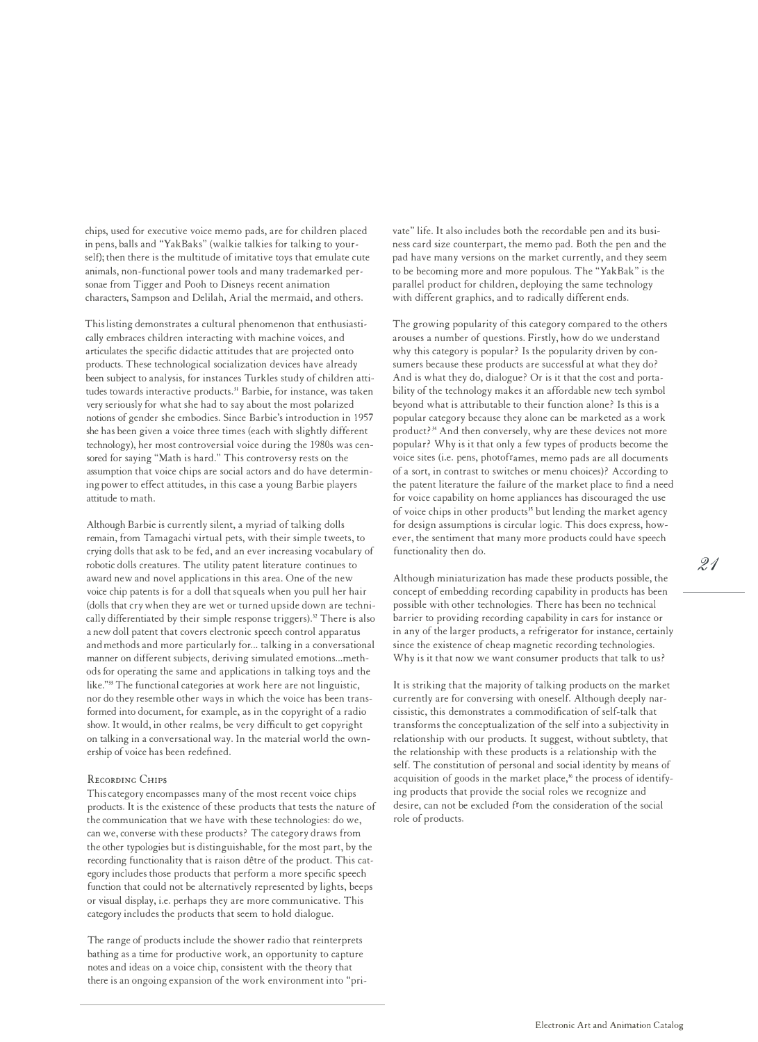chips, used for executive voice memo pads, are for children placed in pens, balls and "YakBaks" (walkie talkies for talking to yourself); then there is the multitude of imitative toys that emulate cute animals, non-functional power tools and many trademarked personae from Tigger and Pooh to Disneys recent animation characters, Sampson and Delilah, Arial the mermaid, and others.

This listing demonstrates a cultural phenomenon that enthusiastically embraces children interacting with machine voices, and articulates the specific didactic attitudes that are projected onto products. These technological socialization devices have already been subject to analysis, for instances Turkles study of children attitudes towards interactive products.**31** Barbie, for instance, was taken very seriously for what she had to say about the most polarized notions of gender she embodies. Since Barbie's introduction in 1957 she has been given a voice three times (each with slightly different technology), her most controversial voice during the 1980s was censored for saying "Math is hard." This controversy rests on the assumption that voice chips are social actors and do have determining power to effect attitudes, in this case a young Barbie players attitude to math.

Although Barbie is currently silent, a myriad of talking dolls remain, from Tamagachi virtual pets, with their simple tweets, to crying dolls that ask to be fed, and an ever increasing vocabulary of robotic dolls creatures. The utility patent literature continues to award new and novel applications in this area. One of the new voice chip patents is for a doll that squeals when you pull her hair (dolls that cry when they are wet or turned upside down are technically differentiated by their simple response triggers)." There is also a new doll patent that covers electronic speech control apparatus and methods and more particularly for ... talking in a conversational manner on different subjects, deriving simulated emotions ... methods for operating the same and applications in talking toys and the like."**33** The functional categories at work here are not linguistic, nor do they resemble other ways in which the voice has been transformed into document, for example, as in the copyright of a radio show. It would, in other realms, be very difficult to get copyright on talking in a conversational way. In the material world the ownership of voice has been redefined.

# RECORDING CHIPS

This category encompasses many of the most recent voice chips products. It is the existence of these products that tests the nature of the communication that we have with these technologies: do we, can we, converse with these products? The category draws from the other typologies but is distinguishable, for the most part, by the recording functionality that is raison detre of the product. This category includes those products that perform a more specific speech function that could not be alternatively represented by lights, beeps or visual display, i.e. perhaps they are more communicative. This category includes the products that seem to hold dialogue.

The range of products include the shower radio that reinterprets bathing as a time for productive work, an opportunity to capture notes and ideas on a voice chip, consistent with the theory that there is an ongoing expansion of the work environment into "private" life. It also includes both the recordable pen and its business card size counterpart, the memo pad. Both the pen and the pad have many versions on the market currently, and they seem to be becoming more and more populous. The "YakBak" is the parallel product for children, deploying the same technology with different graphics, and to radically different ends.

The growing popularity of this category compared to the others arouses a number of questions. Firstly, how do we understand why this category is popular? Is the popularity driven by consumers because these products are successful at what they do? And is what they do, dialogue? Or is it that the cost and portability of the technology makes it an affordable new tech symbol beyond what is attributable to their function alone? Is this is a popular category because they alone can be marketed as a work product?<sup>34</sup> And then conversely, why are these devices not more popular? Why is it that only a few types of products become the voice sites (i.e. pens, photoframes, memo pads are all documents of a sort, in contrast to switches or menu choices)? According to the patent literature the failure of the market place to find a need for voice capability on home appliances has discouraged the use of voice chips in other products<sup>35</sup> but lending the market agency for design assumptions is circular logic. This does express, however, the sentiment that many more products could have speech functionality then do.

Although miniaturization has made these products possible, the concept of embedding recording capability in products has been possible with other technologies. There has been no technical barrier to providing recording capability in cars for instance or in any of the larger products, a refrigerator for instance, certainly since the existence of cheap magnetic recording technologies. Why is it that now we want consumer products that talk to us?

It is striking that the majority of talking products on the market currently are for conversing with oneself. Although deeply narcissistic, this demonstrates a commodification of self-talk that transforms the conceptualization of the self into a subjectivity in relationship with our products. It suggest, without subtlety, that the relationship with these products is a relationship with the self. The constitution of personal and social identity by means of acquisition of goods in the market place,**36** the process of identifying products that provide the social roles we recognize and desire, can not be excluded from the consideration of the social role of products.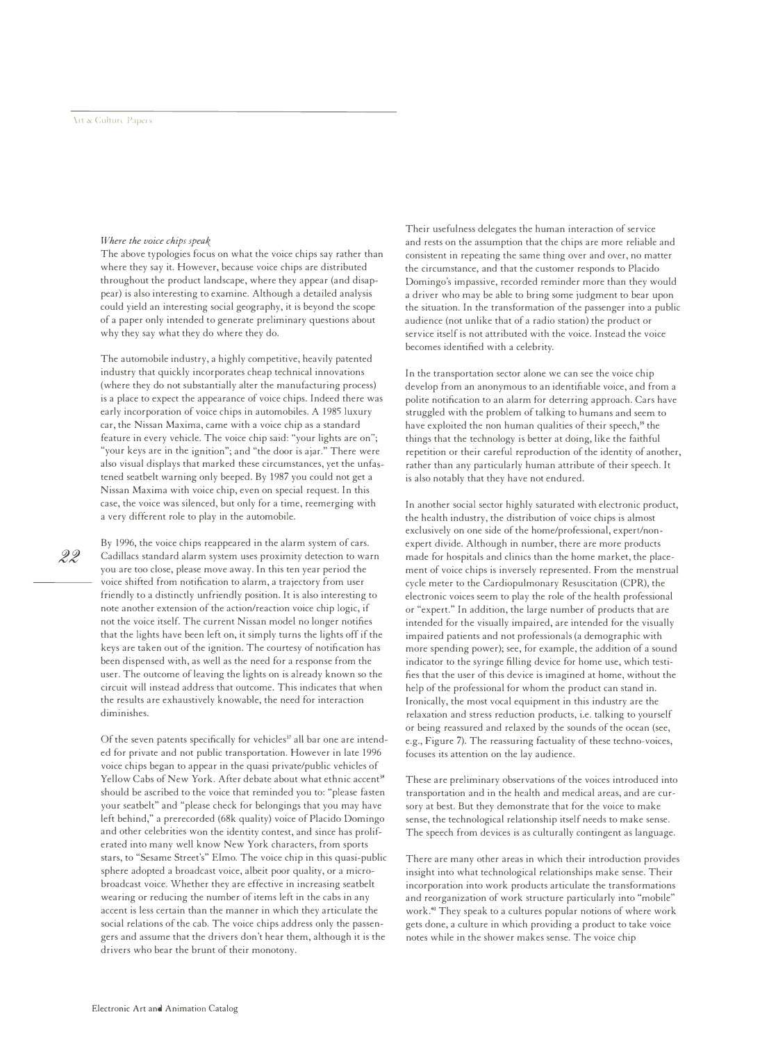### *Where the voice chips speak*

The above typologies focus on what the voice chips say rather than where they say it. However, because voice chips are distributed throughout the product landscape, where they appear (and disappear) is also interesting to examine. Although a detailed analysis could yield an interesting social geography, it is beyond the scope of a paper only intended to generate preliminary questions about why they say what they do where they do.

The automobile industry, a highly competitive, heavily patented industry that quickly incorporates cheap technical innovations (where they do not substantially alter the manufacturing process) is a place to expect the appearance of voice chips. Indeed there was early incorporation of voice chips in automobiles. A 1985 luxury car, the Nissan Maxima, came with a voice chip as a standard feature in every vehicle. The voice chip said: "your lights are on"; "your keys are in the ignition"; and "the door is ajar." There were also visual displays that marked these circumstances, yet the unfastened seatbelt warning only beeped. By 1987 you could not get a Nissan Maxima with voice chip, even on special request. In this case, the voice was silenced, but only for a time, reemerging with a very different role to play in the automobile.

By 1996, the voice chips reappeared in the alarm system of cars. Cadillacs standard alarm system uses proximity detection to warn you are too close, please move away. In this ten year period the voice shifted from notification to alarm, a trajectory from user friendly to a distinctly unfriendly position. It is also interesting to note another extension of the action/reaction voice chip logic, if not the voice itself. The current Nissan model no longer notifies that the lights have been left on, it simply turns the lights off if the keys are taken out of the ignition. The courtesy of notification has been dispensed with, as well as the need for a response from the user. The outcome of leaving the lights on is already known so the circuit will instead address that outcome. This indicates that when the results are exhaustively knowable, the need for interaction diminishes.

Of the seven patents specifically for vehicles" all bar one are intended for private and not public transportation. However in late 1996 voice chips began to appear in the quasi private/public vehicles of Yellow Cabs of New York. After debate about what ethnic accent<sup>38</sup> should be ascribed to the voice that reminded you to: "please fasten your seatbelt" and "please check for belongings that you may have left behind," a prerecorded (68k quality) voice of Placido Domingo and other celebrities won the identity contest, and since has proliferated into many well know New York characters, from sports stars, to "Sesame Street's" Elmo. The voice chip in this quasi-public sphere adopted a broadcast voice, albeit poor quality, or a microbroadcast voice. Whether they are effective in increasing seatbelt wearing or reducing the number of items left in the cabs in any accent is less certain than the manner in which they articulate the social relations of the cab. The voice chips address only the passengers and assume that the drivers don't hear them, although it is the drivers who bear the brunt of their monotony.

Their usefulness delegates the human interaction of service and rests on the assumption that the chips are more reliable and consistent in repeating the same thing over and over, no matter the circumstance, and that the customer responds to Placido Domingo's impassive, recorded reminder more than they would a driver who may be able to bring some judgment to bear upon the situation. In the transformation of the passenger into a public audience (not unlike that of a radio station) the product or service itself is not attributed with the voice. Instead the voice becomes identified with a celebrity.

In the transportation sector alone we can see the voice chip develop from an anonymous to an identifiable voice, and from a polite notification to an alarm for deterring approach. Cars have struggled with the problem of talking to humans and seem to have exploited the non human qualities of their speech,<sup>39</sup> the things that the technology is better at doing, like the faithful repetition or their careful reproduction of the identity of another, rather than any particularly human attribute of their speech. It is also notably that they have not endured.

In another social sector highly saturated with electronic product, the health industry, the distribution of voice chips is almost exclusively on one side of the home/professional, expert/nonexpert divide. Although in number, there are more products made for hospitals and clinics than the home market, the placement of voice chips is inversely represented. From the menstrual cycle meter to the Cardiopulmonary Resuscitation (CPR), the electronic voices seem to play the role of the health professional or "expert." In addition, the large number of products that are intended for the visually impaired, are intended for the visually impaired patients and not professionals (a demographic with more spending power); see, for example, the addition of a sound indicator to the syringe filling device for home use, which testifies that the user of this device is imagined at home, without the help of the professional for whom the product can stand in. Ironically, the most vocal equipment in this industry are the relaxation and stress reduction products, i.e. talking to yourself or being reassured and relaxed by the sounds of the ocean (see, e.g., Figure 7). The reassuring factuality of these techno-voices, focuses its attention on the lay audience.

These are preliminary observations of the voices introduced into transportation and in the health and medical areas, and are cursory at best. But they demonstrate that for the voice to make sense, the technological relationship itself needs to make sense. The speech from devices is as culturally contingent as language.

There are many other areas in which their introduction provides insight into what technological relationships make sense. Their incorporation into work products articulate the transformations and reorganization of work structure particularly into "mobile" work.**40** They speak to a cultures popular notions of where work gets done, a culture in which providing a product to take voice notes while in the shower makes sense. The voice chip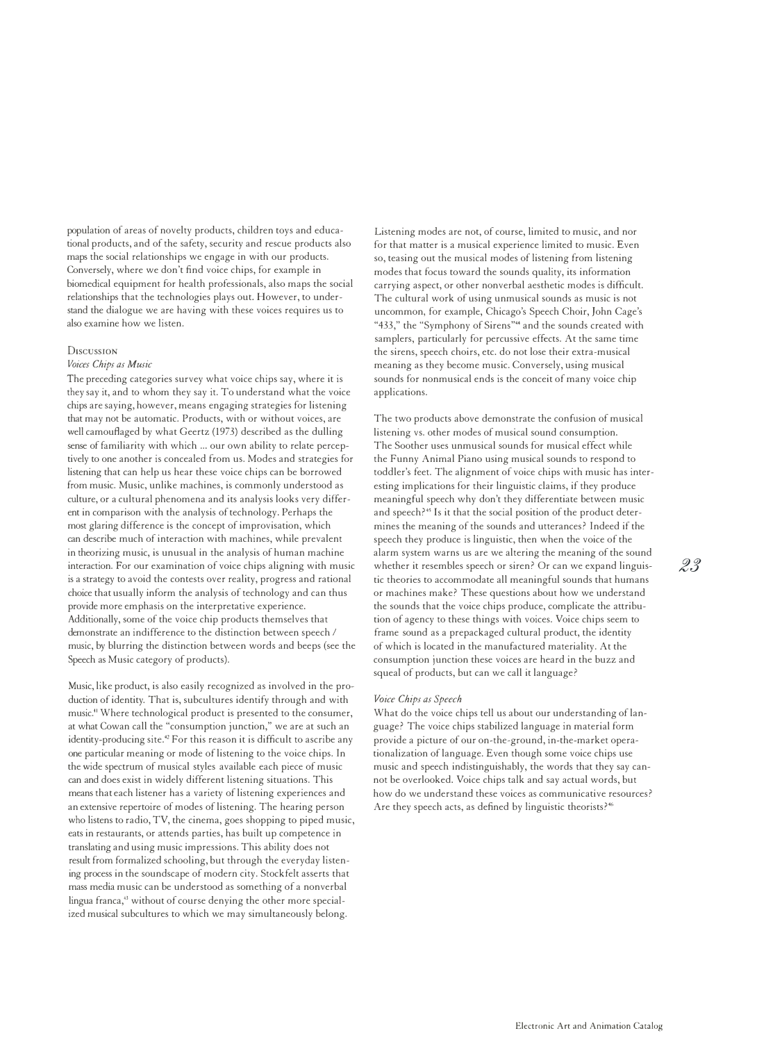population of areas of novelty products, children toys and educational products, and of the safety, security and rescue products also maps the social relationships we engage in with our products. Conversely, where we don't find voice chips, for example in biomedical equipment for health professionals, also maps the social relationships that the technologies plays out. However, to understand the dialogue we are having with these voices requires us to also examine how we listen.

## DISCUSSION

# *Voices Chips as Music*

The preceding categories survey what voice chips say, where it is they say it, and to whom they say it. To understand what the voice chips are saying, however, means engaging strategies for listening that may not be automatic. Products, with or without voices, are well camouflaged by what Geertz (1973) described as the dulling sense of familiarity with which ... our own ability to relate perceptively to one another is concealed from us. Modes and strategies for listening that can help us hear these voice chips can be borrowed from music. Music, unlike machines, is commonly understood as culture, or a cultural phenomena and its analysis looks very different in comparison with the analysis of technology. Perhaps the most glaring difference is the concept of improvisation, which can describe much of interaction with machines, while prevalent in theorizing music, is unusual in the analysis of human machine interaction. For our examination of voice chips aligning with music is a strategy to avoid the contests over reality, progress and rational choice that usually inform the analysis of technology and can thus provide more emphasis on the interpretative experience. Additionally, some of the voice chip products themselves that demonstrate an indifference to the distinction between speech/ music, by blurring the distinction between words and beeps (see the Speech as Music category of products).

Music, like product, is also easily recognized as involved in the production of identity. That is, subcultures identify through and with music." Where technological product is presented to the consumer, at what Cowan call the "consumption junction," we are at such an identity-producing site.<sup>42</sup> For this reason it is difficult to ascribe any one particular meaning or mode of listening to the voice chips. In the wide spectrum of musical styles available each piece of music can and does exist in widely different listening situations. This means that each listener has a variety of listening experiences and an extensive repertoire of modes of listening. The hearing person who listens to radio, TV, the cinema, goes shopping to piped music, eats in restaurants, or attends parties, has built up competence in translating and using music impressions. This ability does not result from formalized schooling, but through the everyday listening process in the soundscape of modern city. Stockfelt asserts that mass media music can be understood as something of a nonverbal lingua franca,<sup>43</sup> without of course denying the other more specialized musical subcultures to which we may simultaneously belong.

Listening modes are not, of course, limited to music, and nor for that matter is a musical experience limited to music. Even so, teasing out the musical modes of listening from listening modes that focus toward the sounds quality, its information carrying aspect, or other nonverbal aesthetic modes is difficult. The cultural work of using unmusical sounds as music is not uncommon, for example, Chicago's Speech Choir, John Cage's "433," the "Symphony of Sirens"" and the sounds created with samplers, particularly for percussive effects. At the same time the sirens, speech choirs, etc. do not lose their extra-musical meaning as they become music. Conversely, using musical sounds for nonmusical ends is the conceit of many voice chip applications.

The two products above demonstrate the confusion of musical listening vs. other modes of musical sound consumption. The Soother uses unmusical sounds for musical effect while the Funny Animal Piano using musical sounds to respond to toddler's feet. The alignment of voice chips with music has interesting implications for their linguistic claims, if they produce meaningful speech why don't they differentiate between music and speech?<sup>45</sup> Is it that the social position of the product determines the meaning of the sounds and utterances? Indeed if the speech they produce is linguistic, then when the voice of the alarm system warns us are we altering the meaning of the sound whether it resembles speech or siren? Or can we expand linguistic theories to accommodate all meaningful sounds that humans or machines make? These questions about how we understand the sounds that the voice chips produce, complicate the attribution of agency to these things with voices. Voice chips seem to frame sound as a prepackaged cultural product, the identity of which is located in the manufactured materiality. At the consumption junction these voices are heard in the buzz and squeal of products, but can we call it language?

## *Voice Chips as Speech*

What do the voice chips tell us about our understanding of language? The voice chips stabilized language in material form provide a picture of our on-the-ground, in-the-market operationalization of language. Even though some voice chips use music and speech indistinguishably, the words that they say cannot be overlooked. Voice chips talk and say actual words, but how do we understand these voices as communicative resources? Are they speech acts, as defined by linguistic theorists?<sup>44</sup>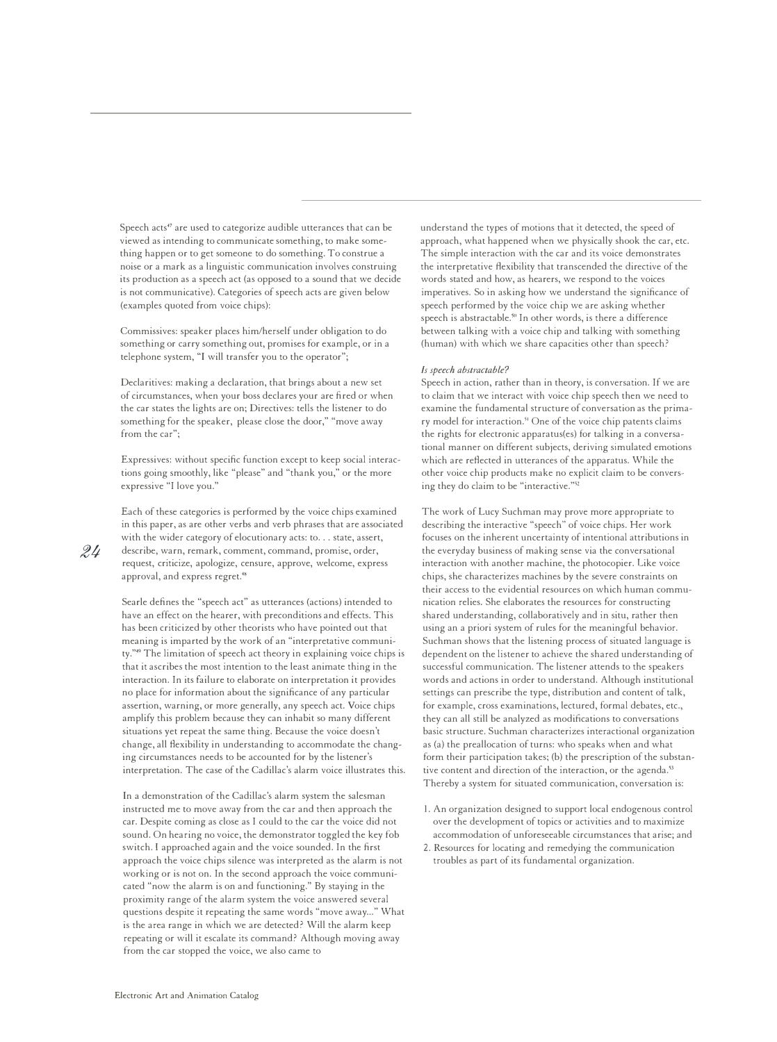Speech acts**<sup>47</sup>**are used to categorize audible utterances that can be viewed as intending to communicate something, to make something happen or to get someone to do something. To construe a noise or a mark as a linguistic communication involves construing its production as a speech act (as opposed to a sound that we decide is not communicative). Categories of speech acts are given below (examples quoted from voice chips):

Commissives: speaker places him/herself under obligation to do something or carry something out, promises for example, or in a telephone system, "I will transfer you to the operator";

Declaritives: making a declaration, that brings about a new set of circumstances, when your boss declares your are fired or when the car states the lights are on; Directives: tells the listener to do something for the speaker, please close the door," "move away from the car";

Expressives: without specific function except to keep social interactions going smoothly, like "please" and "thank you," or the more expressive "I love you."

Each of these categories is performed by the voice chips examined in this paper, as are other verbs and verb phrases that are associated with the wider category of elocutionary acts: to. . . state, assert, describe, warn, remark, comment, command, promise, order, request, criticize, apologize, censure, approve, welcome, express approval, and express regret."

Searle defines the "speech act" as utterances (actions) intended to have an effect on the hearer, with preconditions and effects. This has been criticized by other theorists who have pointed out that meaning is imparted by the work of an "interpretative community."<sup>49</sup> The limitation of speech act theory in explaining voice chips is that it ascribes the most intention to the least animate thing in the interaction. In its failure to elaborate on interpretation it provides no place for information about the significance of any particular assertion, warning, or more generally, any speech act. Voice chips amplify this problem because they can inhabit so many different situations yet repeat the same thing. Because the voice doesn't change, all flexibility in understanding to accommodate the changing circumstances needs to be accounted for by the listener's interpretation. The case of the Cadillac's alarm voice illustrates this.

In a demonstration of the Cadillac's alarm system the salesman instructed me to move away from the car and then approach the car. Despite coming as close as I could to the car the voice did not sound. On hearing no voice, the demonstrator toggled the key fob switch. I approached again and the voice sounded. In the first approach the voice chips silence was interpreted as the alarm is not working or is not on. In the second approach the voice communicated "now the alarm is on and functioning." By staying in the proximity range of the alarm system the voice answered several questions despite it repeating the same words "move away..." What is the area range in which we are detected? Will the alarm keep repeating or will it escalate its command? Although moving away from the car stopped the voice, we also came to

understand the types of motions that it detected, the speed of approach, what happened when we physically shook the car, etc. The simple interaction with the car and its voice demonstrates the interpretative flexibility that transcended the directive of the words stated and how, as hearers, we respond to the voices imperatives. So in asking how we understand the significance of speech performed by the voice chip we are asking whether speech is abstractable.**50** In other words, is there a difference between talking with a voice chip and talking with something (human) with which we share capacities other than speech?

# *Is speech abstractable?*

Speech in action, rather than in theory, is conversation. If we are to claim that we interact with voice chip speech then we need to examine the fundamental structure of conversation as the primary model for interaction." One of the voice chip patents claims the rights for electronic apparatus(es) for talking in a conversational manner on different subjects, deriving simulated emotions which are reflected in utterances of the apparatus. While the other voice chip products make no explicit claim to be conversing they do claim to be "interactive."<sup>52</sup>

The work of Lucy Suchman may prove more appropriate to describing the interactive "speech" of voice chips. Her work focuses on the inherent uncertainty of intentional attributions in the everyday business of making sense via the conversational interaction with another machine, the photocopier. Like voice chips, she characterizes machines by the severe constraints on their access to the evidential resources on which human communication relies. She elaborates the resources for constructing shared understanding, collaboratively and in situ, rather then using an a priori system of rules for the meaningful behavior. Suchman shows that the listening process of situated language is dependent on the listener to achieve the shared understanding of successful communication. The listener attends to the speakers words and actions in order to understand. Although institutional settings can prescribe the type, distribution and content of talk, for example, cross examinations, lectured, formal debates, etc., they can all still be analyzed as modifications to conversations basic structure. Suchman characterizes interactional organization as (a) the preallocation of turns: who speaks when and what form their participation takes; (b) the prescription of the substantive content and direction of the interaction, or the agenda.**<sup>53</sup>** Thereby a system for situated communication, conversation is:

- I. An organization designed to support local endogenous control over the development of topics or activities and to maximize accommodation of unforeseeable circumstances that arise; and
- 2. Resources for locating and remedying the communication troubles as part of its fundamental organization.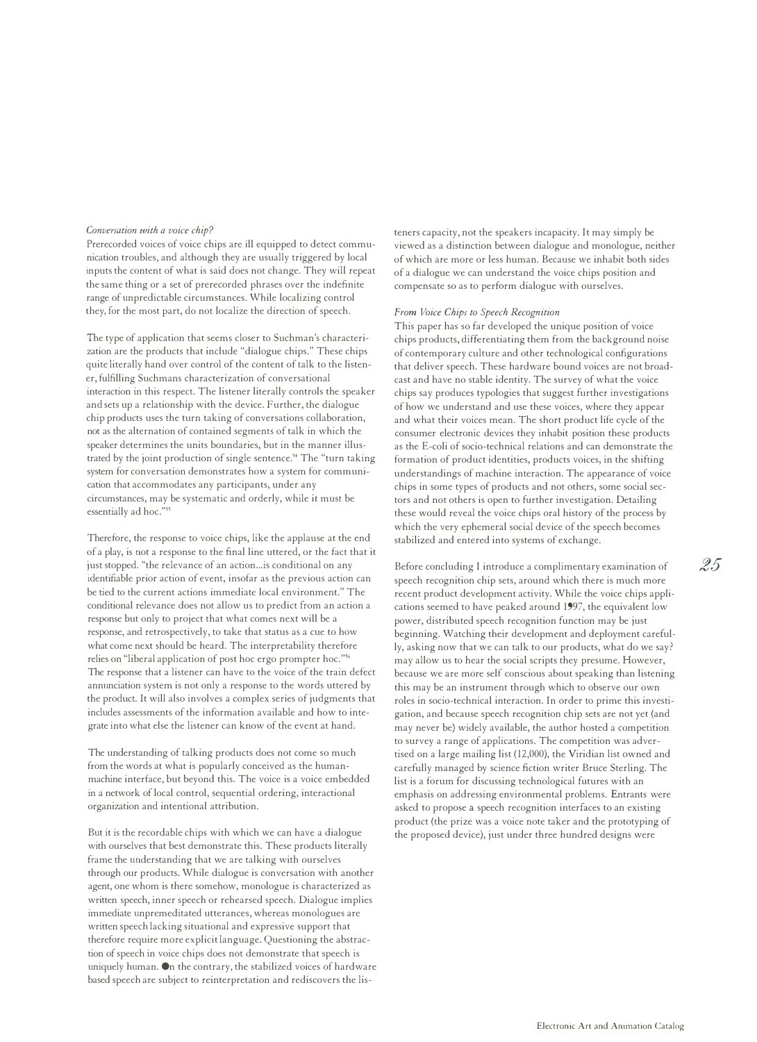## *Conversation with a voice chip?*

Prerecorded voices of voice chips are ill equipped to detect communication troubles, and although they are usually triggered by local inputs the content of what is said does not change. They will repeat the same thing or a set of prerecorded phrases over the indefinite range of unpredictable circumstances. While localizing control they, for the most part, do not localize the direction of speech.

The type of application that seems closer to Suchman's characterization are the products that include "dialogue chips." These chips quite literally hand over control of the content of talk to the listener, fulfilling Suchmans characterization of conversational interaction in this respect. The listener literally controls the speaker and sets up a relationship with the device. Further, the dialogue chip products uses the turn taking of conversations collaboration, not as the alternation of contained segments of talk in which the speaker determines the units boundaries, but in the manner illustrated by the joint production of single sentence.<sup>54</sup> The "turn taking system for conversation demonstrates how a system for communication that accommodates any participants, under any circumstances, may be systematic and orderly, while it must be essentially ad hoc."<sup>55</sup>

Therefore, the response to voice chips, like the applause at the end of a play, is not a response to the final line uttered, or the fact that it just stopped. "the relevance of an action... is conditional on any identifiable prior action of event, insofar as the previous action can be tied to the current actions immediate local environment." The conditional relevance does not allow us to predict from an action a response but only to project that what comes next will be a response, and retrospectively, to take that status as a cue to how what come next should be heard. The interpretability therefore relies on "liberal application of post hoc ergo prompter hoc."" The response that a listener can have to the voice of the train defect annunciation system is not only a response to the words uttered by the product. It will also involves a complex series of judgments that includes assessments of the information available and how to integrate into what else the listener can know of the event at hand.

The understanding of talking products does not come so much from the words at what is popularly conceived as the humanmachine interface, but beyond this. The voice is a voice embedded in a network of local control, sequential ordering, interactional organization and intentional attribution.

But it is the recordable chips with which we can have a dialogue with ourselves that best demonstrate this. These products literally frame the understanding that we are talking with ourselves through our products. While dialogue is conversation with another agent, one whom is there somehow, monologue is characterized as written speech, inner speech or rehearsed speech. Dialogue implies immediate unpremeditated utterances, whereas monologues are written speech lacking situational and expressive support that therefore require more explicit language. Questioning the abstraction of speech in voice chips does not demonstrate that speech is uniquely human. On the contrary, the stabilized voices of hardware based speech are subject to reinterpretation and rediscovers the listeners capacity, not the speakers incapacity. It may simply be viewed as a distinction between dialogue and monologue, neither of which are more or less human. Because we inhabit both sides of a dialogue we can understand the voice chips position and compensate so as to perform dialogue with ourselves.

# *From Voice Chips to Speech Recognition*

This paper has so far developed the unique position of voice chips products, differentiating them from the background noise of contemporary culture and other technological configurations that deliver speech. These hardware bound voices are not broadcast and have no stable identity. The survey of what the voice chips say produces typologies that suggest further investigations of how we understand and use these voices, where they appear and what their voices mean. The short product life cycle of the consumer electronic devices they inhabit position these products as the E-coli of socio-technical relations and can demonstrate the formation of product identities, products voices, in the shifting understandings of machine interaction. The appearance of voice chips in some types of products and not others, some social sectors and not others is open to further investigation. Detailing these would reveal the voice chips oral history of the process by which the very ephemeral social device of the speech becomes stabilized and entered into systems of exchange.

Before concluding I introduce a complimentary examination of speech recognition chip sets, around which there is much more recent product development activity. While the voice chips applications seemed to have peaked around 1997, the equivalent low power, distributed speech recognition function may be just beginning. Watching their development and deployment carefully, asking now that we can talk to our products, what do we say? may allow us to hear the social scripts they presume. However, because we are more self conscious about speaking than listening this may be an instrument through which to observe our own roles in socio-technical interaction. In order to prime this investigation, and because speech recognition chip sets are not yet (and may never be) widely available, the author hosted a competition to survey a range of applications. The competition was advertised on a large mailing list (12,000), the Viridian list owned and carefully managed by science fiction writer Bruce Sterling. The list is a forum for discussing technological futures with an emphasis on addressing environmental problems. Entrants were asked to propose a speech recognition interfaces to an existing product (the prize was a voice note taker and the prototyping\_ of the proposed device), just under three hundred designs were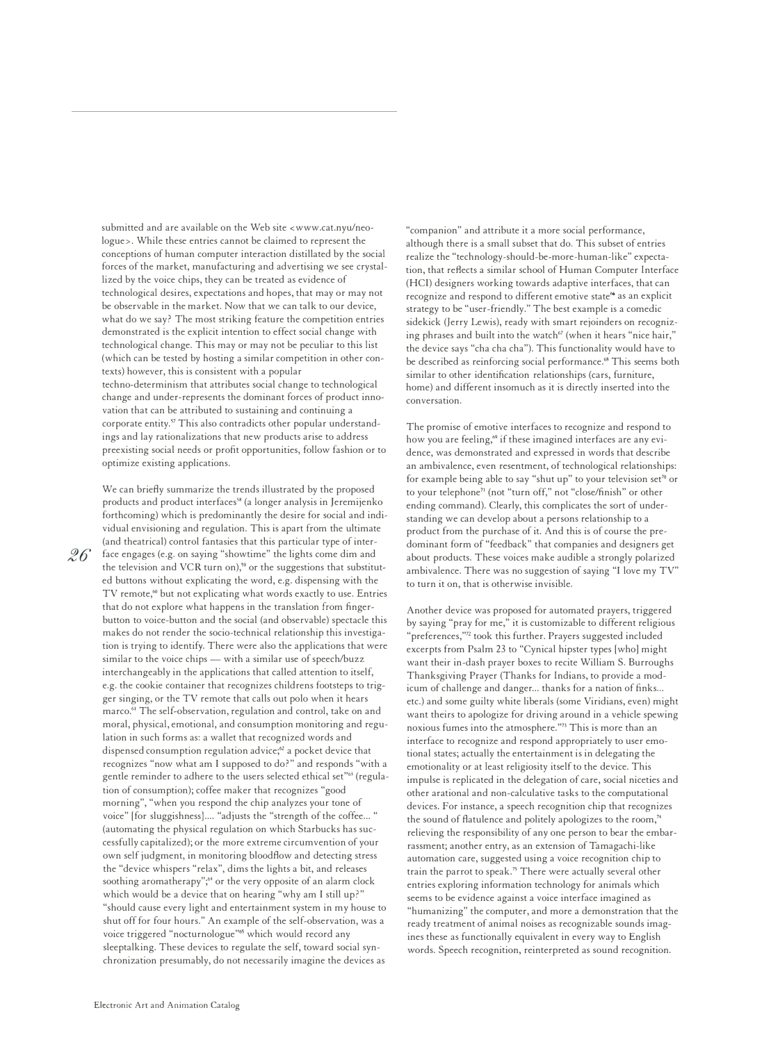submitted and are available on the Web site <www.cat.nyu/neologue>. While these entries cannot be claimed to represent the conceptions of human computer interaction distillated by the social forces of the market, manufacturing and advertising we see crystallized by the voice chips, they can be treated as evidence of technological desires, expectations and hopes, that may or may not be observable in the market. Now that we can talk to our device, what do we say? The most striking feature the competition entries demonstrated is the explicit intention to effect social change with technological change. This may or may not be peculiar to this list (which can be tested by hosting a similar competition in other contexts) however, this is consistent with a popular techno-determinism that attributes social change to technological change and under-represents the dominant forces of product innovation that can be attributed to sustaining and continuing a corporate entity." This also contradicts other popular understandings and lay rationalizations that new products arise to address preexisting social needs or profit opportunities, follow fashion or to optimize existing applications.

We can briefly summarize the trends illustrated by the proposed products and product interfaces<sup>58</sup> (a longer analysis in Jeremijenko forthcoming) which is predominantly the desire for social and individual envisioning and regulation. This is apart from the ultimate (and theatrical) control fantasies that this particular type of interface engages (e.g. on saying "showtime" the lights come dim and the television and VCR turn on)," or the suggestions that substituted buttons without explicating the word, e.g. dispensing with the TV remote,**60** but not explicating what words exactly to use. Entries that do not explore what happens in the translation from fingerbutton to voice-button and the social (and observable) spectacle this makes do not render the socio-technical relationship this investigation is trying to identify. There were also the applications that were similar to the voice chips - with a similar use of speech/buzz interchangeably in the applications that called attention to itself, e.g. the cookie container that recognizes childrens footsteps to trigger singing, or the TV remote that calls out polo when it hears marco.**61** The self-observation, regulation and control, take on and moral, physical, emotional, and consumption monitoring and regulation in such forms as: a wallet that recognized words and dispensed consumption regulation advice;<sup>62</sup> a pocket device that recognizes "now what am I supposed to do?" and responds "with a gentle reminder to adhere to the users selected ethical set"<sup>63</sup> (regulation of consumption); coffee maker that recognizes "good morning", "when you respond the chip analyzes your tone of voice" [for sluggishness].... "adjusts the "strength of the coffee... " (automating the physical regulation on which Starbucks has successfully capitalized); or the more extreme circumvention of your own self judgment, in monitoring bloodflow and detecting stress the "device whispers "relax", dims the lights a bit, and releases soothing aromatherapy";<sup>64</sup> or the very opposite of an alarm clock which would be a device that on hearing "why am I still up?" "should cause every light and entertainment system in my house to shut off for four hours." An example of the self-observation, was a voice triggered "nocturnologue"<sup>65</sup> which would record any sleeptalking. These devices to regulate the self, toward social synchronization presumably, do not necessarily imagine the devices as

"companion" and attribute it a more social performance, although there is a small subset that do. This subset of entries realize the "technology-should-be-more-human-like" expectation, that reflects a similar school of Human Computer Interface (HCI) designers working towards adaptive interfaces, that can recognize and respond to different emotive state<sup>66</sup> as an explicit strategy to be "user-friendly." The best example is a comedic sidekick (Jerry Lewis), ready with smart rejoinders on recognizing phrases and built into the watch" (when it hears "nice hair," the device says "cha cha cha"). This functionality would have to be described as reinforcing social performance.<sup>68</sup> This seems both similar to other identification relationships (cars, furniture, home) and different insomuch as it is directly inserted into the conversation.

The promise of emotive interfaces to recognize and respond to how you are feeling,<sup>69</sup> if these imagined interfaces are any evidence, was demonstrated and expressed in words that describe an ambivalence, even resentment, of technological relationships: for example being able to say "shut up" to your television set<sup>70</sup> or to your telephone" (not "turn off," not "close/finish" or other ending command). Clearly, this complicates the sort of understanding we can develop about a persons relationship to a product from the purchase of it. And this is of course the predominant form of "feedback" that companies and designers get about products. These voices make audible a strongly polarized ambivalence. There was no suggestion of saying "I love my TV" to turn it on, that is otherwise invisible.

Another device was proposed for automated prayers, triggered by saying "pray for me," it is customizable to different religious "preferences,"<sup>72</sup> took this further. Prayers suggested included excerpts from Psalm 23 to "Cynical hipster types [who] might want their in-dash prayer boxes to recite William S. Burroughs Thanksgiving Prayer (Thanks for Indians, to provide a modicum of challenge and danger... thanks for a nation of finks... etc.) and some guilty white liberals (some Viridians, even) might want theirs to apologize for driving around in a vehicle spewing noxious fumes into the atmosphere."<sup>73</sup> This is more than an interface to recognize and respond appropriately to user emotional states; actually the entertainment is in delegating the emotionality or at least religiosity itself to the device. This impulse is replicated in the delegation of care, social niceties and other arational and non-calculative tasks to the computational devices. For instance, a speech recognition chip that recognizes the sound of flatulence and politely apologizes to the room," relieving the responsibility of any one person to bear the embarrassment; another entry, as an extension of Tamagachi-like automation care, suggested using a voice recognition chip to train the parrot to speak." There were actually several other entries exploring information technology for animals which seems to be evidence against a voice interface imagined as "humanizing" the computer, and more a demonstration that the ready treatment of animal noises as recognizable sounds imagines these as functionally equivalent in every way to English words. Speech recognition, reinterpreted as sound recognition.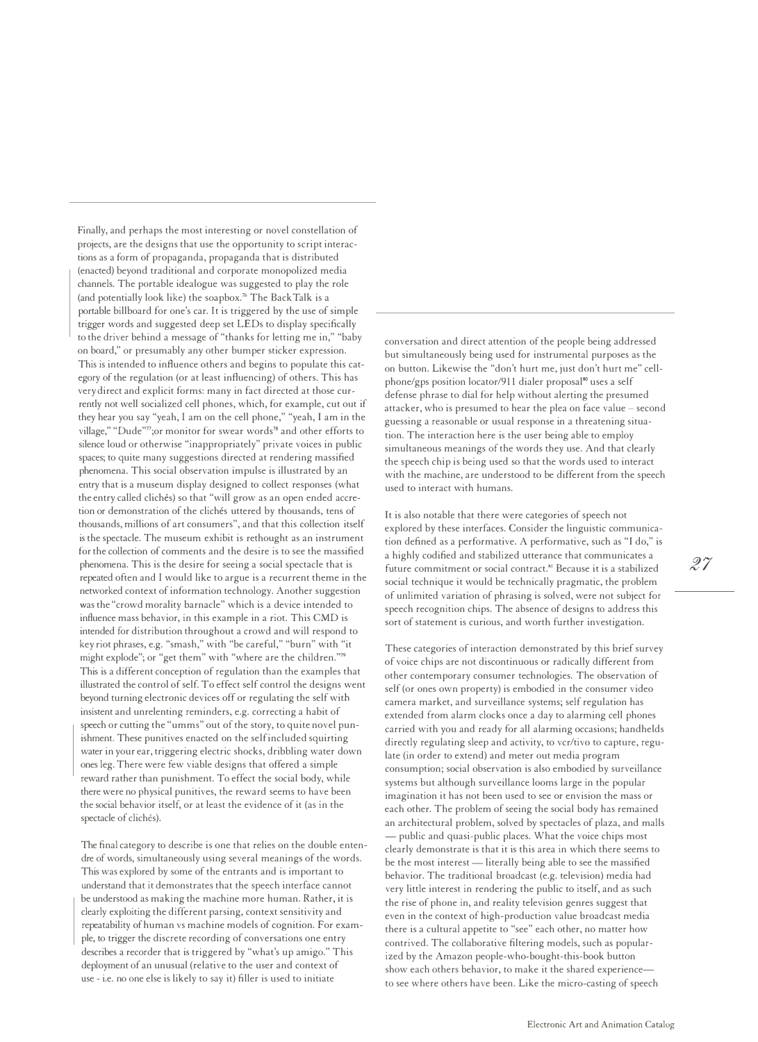Finally, and perhaps the most interesting or novel constellation of projects, are the designs that use the opportunity to script interactions as a form of propaganda, propaganda that is distributed (enacted) beyond traditional and corporate monopolized media channels. The portable idealogue was suggested to play the role (and potentially look like} the soapbox." The Back Talk is a portable billboard for one's car. It is triggered by the use of simple trigger words and suggested deep set LEDs to display specifically to the driver behind a message of "thanks for letting me in," "baby on board," or presumably any other bumper sticker expression. This is intended to influence others and begins to populate this category of the regulation (or at least influencing} of others. This has very direct and explicit forms: many in fact directed at those currently not well socialized cell phones, which, for example, cut out if they hear you say "yeah, I am on the cell phone," "yeah, I am in the village," "Dude"";or monitor for swear words" and other efforts to silence loud or otherwise "inappropriately" private voices in public spaces; to quite many suggestions directed at rendering massified phenomena. This social observation impulse is illustrated by an entry that is a museum display designed to collect responses (what the entry called clichés) so that "will grow as an open ended accretion or demonstration of the clichés uttered by thousands, tens of thousands, millions of art consumers", and that this collection itself is the spectacle. The museum exhibit is rethought as an instrument for the collection of comments and the desire is to see the massified phenomena. This is the desire for seeing a social spectacle that is repeated often and I would like to argue is a recurrent theme in the networked context of information technology. Another suggestion was the "crowd morality barnacle" which is a device intended to influence mass behavior, in this example in a riot. This CMD is intended for distribution throughout a crowd and will respond to key riot phrases, e.g. "smash," with "be careful," "burn" with "it might explode"; or "get them" with "where are the children."**<sup>79</sup>** This is a different conception of regulation than the examples that illustrated the control of self. To effect self control the designs went beyond turning electronic devices off or regulating the self with insistent and unrelenting reminders, e.g. correcting a habit of speech or cutting the "umms" out of the story, to quite novel punishment. These punitives enacted on the self included squirting water in your ear, triggering electric shocks, dribbling water down ones leg. There were few viable designs that offered a simple reward rather than punishment. To effect the social body, while there were no physical punitives, the reward seems to have been the social behavior itself, or at least the evidence of it (as in the spectacle of clichés).

The final category to describe is one that relies on the double entendre of words, simultaneously using several meanings of the words. This was explored by some of the entrants and is important to understand that it demonstrates that the speech interface cannot be understood as making the machine more human. Rather, it is clearly exploiting the different parsing, context sensitivity and repeatability of human vs machine models of cognition. For example, to trigger the discrete recording of conversations one entry describes a recorder that is triggered by "what's up amigo." This deployment of an unusual (relative to the user and context of use - i.e. no one else is likely to say it} filler is used to initiate

conversation and direct attention of the people being addressed but simultaneously being used for instrumental purposes as the on button. Likewise the "don't hurt me, just don't hurt me" cellphone/gps position locator/911 dialer proposal<sup>80</sup> uses a self defense phrase to dial for help without alerting the presumed attacker, who is presumed to hear the plea on face value - second guessing a reasonable or usual response in a threatening situation. The interaction here is the user being able to employ simultaneous meanings of the words they use. And that clearly the speech chip is being used so that the words used to interact with the machine, are understood to be different from the speech used to interact with humans.

It is also notable that there were categories of speech not explored by these interfaces. Consider the linguistic communication defined as a performative. A performative, such as "I do," is a highly codified and stabilized utterance that communicates a future commitment or social contract.<sup>81</sup> Because it is a stabilized social technique it would be technically pragmatic, the problem of unlimited variation of phrasing is solved, were not subject for speech recognition chips. The absence of designs to address this sort of statement is curious, and worth further investigation.

These categories of interaction demonstrated by this brief survey of voice chips are not discontinuous or radically different from other contemporary consumer technologies. The observation of self (or ones own property) is embodied in the consumer video camera market, and surveillance systems; self regulation has extended from alarm clocks once a day to alarming cell phones carried with you and ready for all alarming occasions; handhelds directly regulating sleep and activity, to vcr/tivo to capture, regulate (in order to extend} and meter out media program consumption; social observation is also embodied by surveillance systems but although surveillance looms large in the popular imagination it has not been used to see or envision the mass or each other. The problem of seeing the social body has remained an architectural problem, solved by spectacles of plaza, and malls - public and quasi-public places. What the voice chips most clearly demonstrate is that it is this area in which there seems to be the most interest - literally being able to see the massified behavior. The traditional broadcast (e.g. television} media had very little interest in rendering the public to itself, and as such the rise of phone in, and reality television genres suggest that even in the context of high-production value broadcast media there is a cultural appetite to "see" each other, no matter how contrived. The collaborative filtering models, such as popularized by the Amazon people-who-bought-this-book button show each others behavior, to make it the shared experienceto see where others have been. Like the micro-casting of speech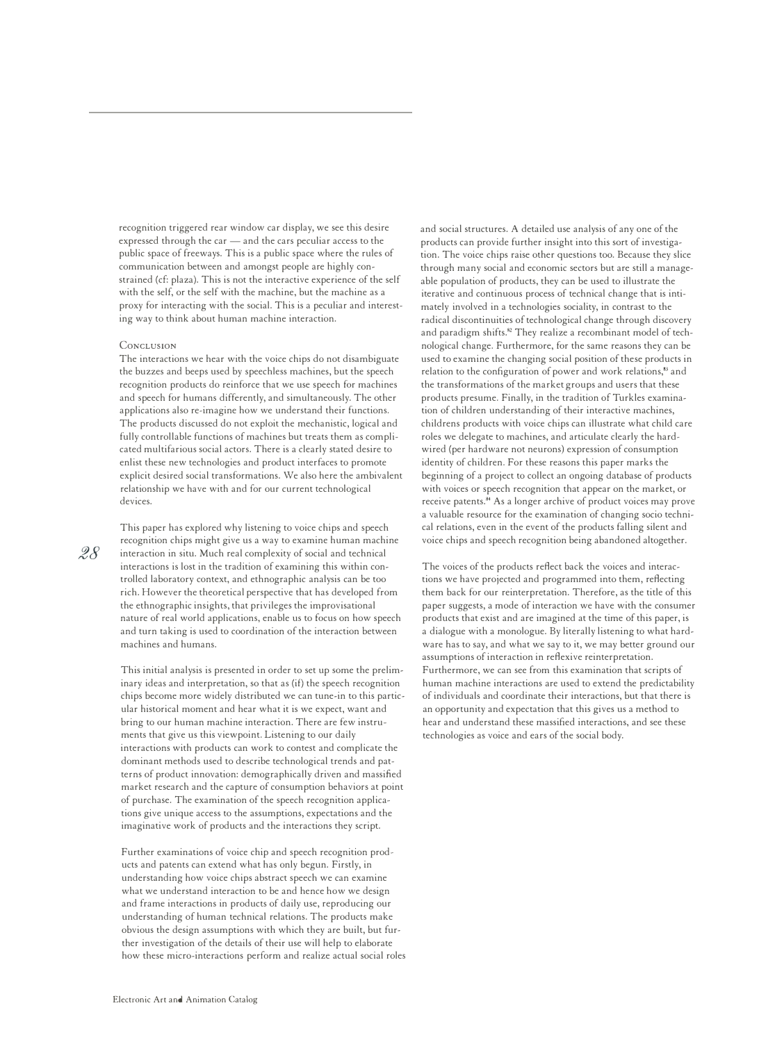recognition triggered rear window car display, we see this desire expressed through the car - and the cars peculiar access to the public space of freeways. This is a public space where the rules of communication between and amongst people are highly constrained (cf: plaza). This is not the interactive experience of the self with the self, or the self with the machine, but the machine as a proxy for interacting with the social. This is a peculiar and interesting way to think about human machine interaction.

## **CONCLUSION**

The interactions we hear with the voice chips do not disambiguate the buzzes and beeps used by speechless machines, but the speech recognition products do reinforce that we use speech for machines and speech for humans differently, and simultaneously. The other applications also re-imagine how we understand their functions. The products discussed do not exploit the mechanistic, logical and fully controllable functions of machines but treats them as complicated multifarious social actors. There is a clearly stated desire to enlist these new technologies and product interfaces to promote explicit desired social transformations. We also here the ambivalent relationship we have with and for our current technological devices.

This paper has explored why listening to voice chips and speech recognition chips might give us a way to examine human machine interaction in situ. Much real complexity of social and technical interactions is lost in the tradition of examining this within controlled laboratory context, and ethnographic analysis can be too rich. However the theoretical perspective that has developed from the ethnographic insights, that privileges the improvisational nature of real world applications, enable us to focus on how speech and turn taking is used to coordination of the interaction between machines and humans.

This initial analysis is presented in order to set up some the preliminary ideas and interpretation, so that as (if) the speech recognition chips become more widely distributed we can tune-in to this particular historical moment and hear what it is we expect, want and bring to our human machine interaction. There are few instruments that give us this viewpoint. Listening to our daily interactions with products can work to contest and complicate the dominant methods used to describe technological trends and patterns of product innovation: demographically driven and massified market research and the capture of consumption behaviors at point of purchase. The examination of the speech recognition applications give unique access to the assumptions, expectations and the imaginative work of products and the interactions they script.

Further examinations of voice chip and speech recognition products and patents can extend what has only begun. Firstly, in understanding how voice chips abstract speech we can examine what we understand interaction to be and hence how we design and frame interactions in products of daily use, reproducing our understanding of human technical relations. The products make obvious the design assumptions with which they are built, but further investigation of the details of their use will help to elaborate how these micro-interactions perform and realize actual social roles and social structures. A detailed use analysis of any one of the products can provide further insight into this sort of investigation. The voice chips raise other questions too. Because they slice through many social and economic sectors but are still a manageable population of products, they can be used to illustrate the iterative and continuous process of technical change that is intimately involved in a technologies sociality, in contrast to the radical discontinuities of technological change through discovery and paradigm shifts.<sup>82</sup> They realize a recombinant model of technological change. Furthermore, for the same reasons they can be used to examine the changing social position of these products in relation to the configuration of power and work relations,<sup>83</sup> and the transformations of the market groups and users that these products presume. Finally, in the tradition of Turkles examination of children understanding of their interactive machines, childrens products with voice chips can illustrate what child care roles we delegate to machines, and articulate clearly the hardwired (per hardware not neurons) expression of consumption identity of children. For these reasons this paper marks the beginning of a project to collect an ongoing database of products with voices or speech recognition that appear on the market, or receive patents." As a longer archive of product voices may prove a valuable resource for the examination of changing socio technical relations, even in the event of the products falling silent and voice chips and speech recognition being abandoned altogether.

The voices of the products reflect back the voices and interactions we have projected and programmed into them, reflecting them back for our reinterpretation. Therefore, as the title of this paper suggests, a mode of interaction we have with the consumer products that exist and are imagined at the time of this paper, is a dialogue with a monologue. By literally listening to what hardware has to say, and what we say to it, we may better ground our assumptions of interaction in reflexive reinterpretation. Furthermore, we can see from this examination that scripts of human machine interactions are used to extend the predictability of individuals and coordinate their interactions, but that there is an opportunity and expectation that this gives us a method to hear and understand these massified interactions, and see these technologies as voice and ears of the social body.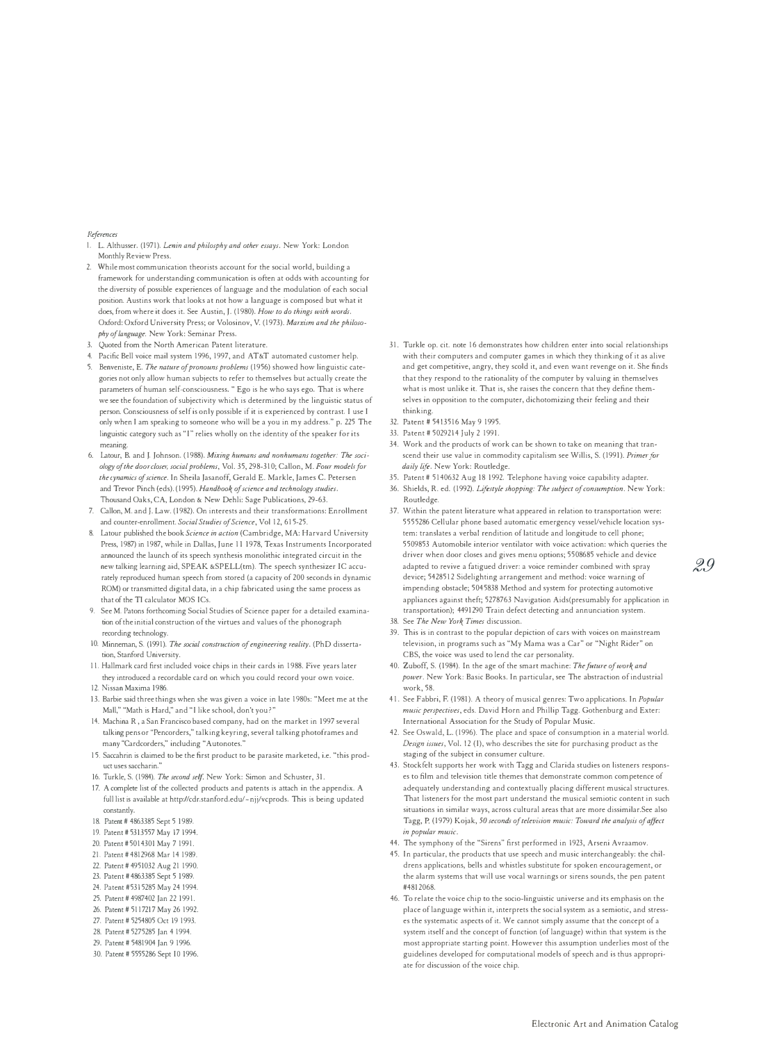### *References*

- I. L. Althusser. (1971). *Lmin and philosphy and other essays.* New York: London Monthly Review Press.
- 2. While most communication theorists account for the social world, building a framework for understanding communication is often at odds with accounting for the diversity of possible experiences of language and the modulation of each social position. Austins work that looks at not how a language is composed but what it does, from where it does it. See Austin, J. (1980). *How to do things with words.*  Oxford: Oxford University Press; or Volosinov, V. (1973). *Marxism and the philoso*phy of language. New York: Seminar Press.
- 3. Quoted from the North American Patent literature.
- Pacific Bell voice mail system 1996, 1997, and AT&T automated customer help.
- 5. Benveniste, E. *The nature of pronouns problems* (1956) showed how linguistic categories not only allow human subjects to refer to themselves but actually create the parameters of human self-consciousness. " Ego is he who says ego. That is where we see the foundation of subjectivity which is determined by the linguistic status of person. Consciousness of self is only possible if it is experienced by contrast. I use I only when I am speaking to someone who will be a you in my address." p. 225 The linguistic category such as "I" relies wholly on the identity of the speaker for its meaning.
- 6. Latour, B. and J. Johnson. (1988). *Mixing humans and nonhumans together: The sociology of the door-closer, social problems,* Vol. 35, 298-310; Callon, M. *Four models for the cynamics of science.* In Sheila Jasanoff, Gerald E. Markle, James C. Petersen and Trevor Pinch (eds). (1995). *Handbook of science and technology studies.*  Thousand Oaks, CA, London & New Dehli: Sage Publications, 29-63.
- 7. Callon, M. and J. Law. (1982). On interests and their transformations: Enrollment and counter-enrollment. *Social Studies of Science,* Vol 12, 615-25.
- 8. Latour published the book *Science in action* (Cambridge, MA: Harvard University Press, 1987) in 1987, while in Dallas, June 11 1978, Texas Instruments Incorporated announced the launch of its speech synthesis monolithic integrated circuit in the new talking learning aid, SPEAK &SPELL(tm). The speech synthesizer JC accurately reproduced human speech from stored (a capacity of 200 seconds in dynamic ROM) or transmitted digital data, in a chip fabricated using the same process as that of the TI calculator MOS ICs.
- See M. Patons forthcoming Social Studies of Science paper for a detailed examination of the initial construction of the virtues and values of the phonograph recording technology.
- 10. Minneman, S. (1991). *The social construction of engineering reality.* (PhD dissertation, Stanford University.
- 11. Hallmark card first included voice chips in their cards in 1988. Five years later they introduced a recordable card on which you could record your own voice.
- 12. Nissan Maxima 1986.
- 13. Barbie said three things when she was given a voice in late 1980s: "Meet me at the Mall," "Math is Hard," and "I like school, don't you?"
- 14. Machina R, a San Francisco based company, had on the market in 1997 several talking pens or "Pencorders," talking keyring, several talking photoframes and many "Cardcorders," including "Autonotes."
- 15. Saccahrin is claimed to be the first product to be parasite marketed, i.e. "this product uses saccharin."
- 16. Turkle, S. (1984). *The second self.* New York: Simon and Schuster, 31.
- 17. A complete list of the collected products and patents is attach in the appendix. A full list is available at http://cdr.stanford.edu/~njj/vcprods. This is being updated constantly.
- 18. Patent # 4863385 Sept 5 1989.
- 19. Patent# 5313557 May 17 1994.
- 20. Patent# 5014301 May 7 1991.
- 21. Patent # 4812968 Mar 14 1989.
- 22. Patent # 4951032 Aug 21 1990.
- 23. Patent # 4863385 Sept 5 1989.
- 24. Patent #5315285 May 24 1994.
- 25. Patent # 4987402 Jan 22 1991.
- 26. Patent # 5117217 May 26 1992.
- 27. Patent # 5254805 Oct 19 1993.
- 28. Patent # 5275285 Jan 4 1994.
- 29. Patent # 5481904 Jan 9 1996.
- 30. Patent# 5555286 Sept IO 1996.
- 31. Turkle op. cit. note 16 demonstrates how children enter into social relationships with their computers and computer games in which they thinking of it as alive and get competitive, angry, they scold it, and even want revenge on it. She finds that they respond to the rationality of the computer by valuing in themselves what is most unlike it. That is, she raises the concern that they define themselves in opposition to the computer, dichotomizing their feeling and their thinking.
- 32. Patent# 5413516 May 9 1995.
- 33. Patent# 5029214 July 2 1991.
- 34. Work and the products of work can *be* shown to take on meaning that transcend their use value in commodity capitalism see Willis, S. (1991). *Primer for daily life.* New York: Routledge.
- 35. Patent # 5140632 Aug 18 1992. Telephone having voice capability adapter.
- 36. Shields, R. ed. (1992). *Lifestyle shopping: The subject of consumption*. New York: Routledge.
- 37. Within the patent literature what appeared in relation to transportation were: 5555286 Cellular phone based automatic emergency vessel/vehicle location system: translates a verbal rendition of latitude and longitude to cell phone; 5509853 Automobile interior ventilator with voice activation: which queries the driver when door closes and gives menu options; 5508685 vehicle and device adapted to revive a fatigued driver: a voice reminder combined with spray device; 5428512 Sidelighting arrangement and method: voice warning of impending obstacle; 5045838 Method and system for protecting automotive appliances against theft; 5278763 Navigation Aids(presumably for application in transportation); 4491290 Train defect detecting and annunciation system.
- 38. See *The New York Times* discussion.
- 39. This is in contrast to the popular depiction of cars with voices on mainstream television, in programs such as "My Mama was a Car" or "Night Rider" on CBS, the voice was used to lend the car personality.
- 40. Zuboff, S. (1984). In the age of the smart machine: *Thefuture of workand power.* New York: Basic Books. In particular, see The abstraction of industrial work, 58.
- 41. See Fabbri, F. (1981). A theory of musical genres: Two applications. In *Popular music perspectives,* eds. David Horn and Phillip Tagg. Gothenburg and Exter: International Association for the Study of Popular Music.
- 42. See Oswald, L. (1996). The place and space of consumption in a material world. *Design issues,* Vol. 12 (I), who describes the site for purchasing produce as the staging of the subject in consumer culture.
- 43. Stock felt supports her work with Tagg and Clarida studies on listeners responses to film and television title themes that demonstrate common competence of adequately understanding and contextually placing different musical structures. That listeners for the most part understand the musical semiotic content in such situations in similar ways, across cultural areas that are more dissimilar.See also Tagg, P. (1979) Kojak, *50 seconds of television music: Toward the analysis of affect in popular music.*
- 44. The symphony of the "Sirens" first performed in 1923, Arseni Avraamov.
- 45. In particular, the products that use speech and music interchangeably: the childrens applications, bells and whistles substitute for spoken encouragement, or the alarm systems that will use vocal warnings or sirens sounds, the pen patent #4812068.
- 46. To relate the voice chip to the socio-linguistic universe and its emphasis on the place of language within it, interprets the social system as a semiotic, and stresses the systematic aspects of it. We cannot simply assume that the concept of a system itself and the concept of function (of language) within that system is the most appropriate starting point. However this assumption underlies most of the guidelines developed for computational models of speech and is thus appropriate for discussion of the voice chip.